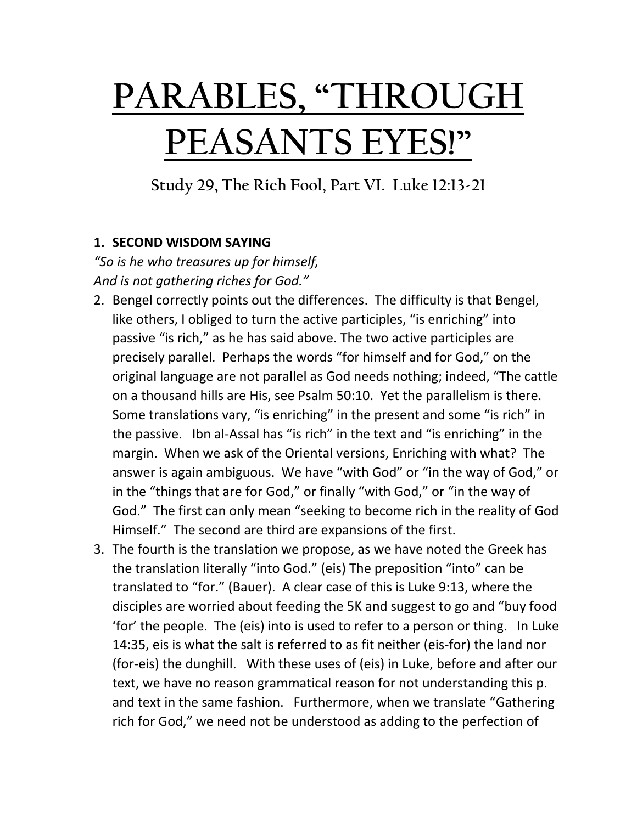## **PARABLES, "THROUGH PEASANTS EYES!"**

**Study 29, The Rich Fool, Part VI. Luke 12:13-21**

## **1. SECOND WISDOM SAYING**

*"So is he who treasures up for himself, And is not gathering riches for God."* 

- 2. Bengel correctly points out the differences. The difficulty is that Bengel, like others, I obliged to turn the active participles, "is enriching" into passive "is rich," as he has said above. The two active participles are precisely parallel. Perhaps the words "for himself and for God," on the original language are not parallel as God needs nothing; indeed, "The cattle on a thousand hills are His, see Psalm 50:10. Yet the parallelism is there. Some translations vary, "is enriching" in the present and some "is rich" in the passive. Ibn al-Assal has "is rich" in the text and "is enriching" in the margin. When we ask of the Oriental versions, Enriching with what? The answer is again ambiguous. We have "with God" or "in the way of God," or in the "things that are for God," or finally "with God," or "in the way of God." The first can only mean "seeking to become rich in the reality of God Himself." The second are third are expansions of the first.
- 3. The fourth is the translation we propose, as we have noted the Greek has the translation literally "into God." (eis) The preposition "into" can be translated to "for." (Bauer). A clear case of this is Luke 9:13, where the disciples are worried about feeding the 5K and suggest to go and "buy food 'for' the people. The (eis) into is used to refer to a person or thing. In Luke 14:35, eis is what the salt is referred to as fit neither (eis-for) the land nor (for-eis) the dunghill. With these uses of (eis) in Luke, before and after our text, we have no reason grammatical reason for not understanding this p. and text in the same fashion. Furthermore, when we translate "Gathering rich for God," we need not be understood as adding to the perfection of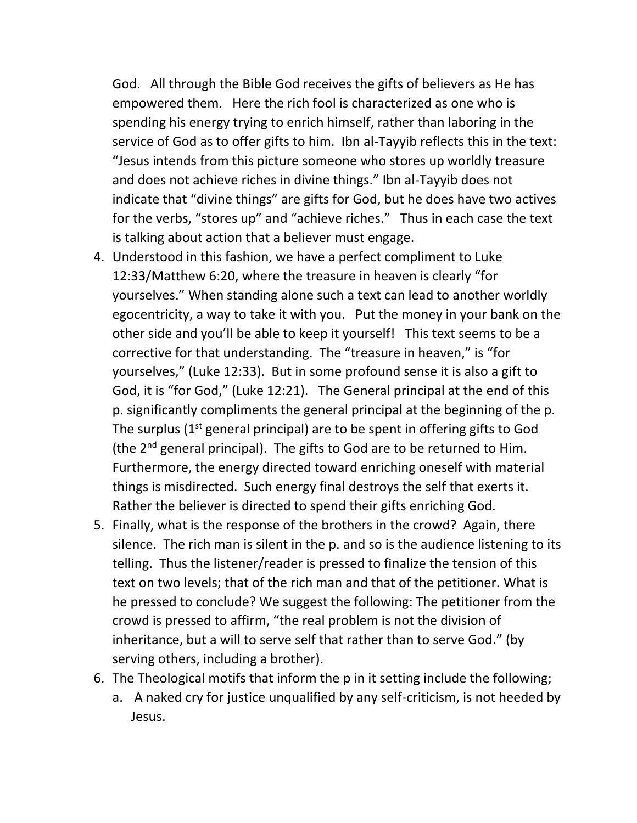God. All through the Bible God receives the gifts of believers as He has empowered them. Here the rich fool is characterized as one who is spending his energy trying to enrich himself, rather than laboring in the service of God as to offer gifts to him. Ibn al-Tayyib reflects this in the text: "Jesus intends from this picture someone who stores up worldly treasure and does not achieve riches in divine things." Ibn al-Tayyib does not indicate that "divine things" are gifts for God, but he does have two actives for the verbs, "stores up" and "achieve riches." Thus in each case the text is talking about action that a believer must engage.

- 4. Understood in this fashion, we have a perfect compliment to Luke 12:33/Matthew 6:20, where the treasure in heaven is clearly "for yourselves." When standing alone such a text can lead to another worldly egocentricity, a way to take it with you. Put the money in your bank on the other side and you'll be able to keep it yourself! This text seems to be a corrective for that understanding. The "treasure in heaven," is "for yourselves," (Luke 12:33). But in some profound sense it is also a gift to God, it is "for God," (Luke 12:21). The General principal at the end of this p. significantly compliments the general principal at the beginning of the p. The surplus  $(1^{st}$  general principal) are to be spent in offering gifts to God (the 2nd general principal). The gifts to God are to be returned to Him. Furthermore, the energy directed toward enriching oneself with material things is misdirected. Such energy final destroys the self that exerts it. Rather the believer is directed to spend their gifts enriching God.
- 5. Finally, what is the response of the brothers in the crowd? Again, there silence. The rich man is silent in the p. and so is the audience listening to its telling. Thus the listener/reader is pressed to finalize the tension of this text on two levels; that of the rich man and that of the petitioner. What is he pressed to conclude? We suggest the following: The petitioner from the crowd is pressed to affirm, "the real problem is not the division of inheritance, but a will to serve self that rather than to serve God." (by serving others, including a brother).
- 6. The Theological motifs that inform the p in it setting include the following;
	- a. A naked cry for justice unqualified by any self-criticism, is not heeded by Jesus.